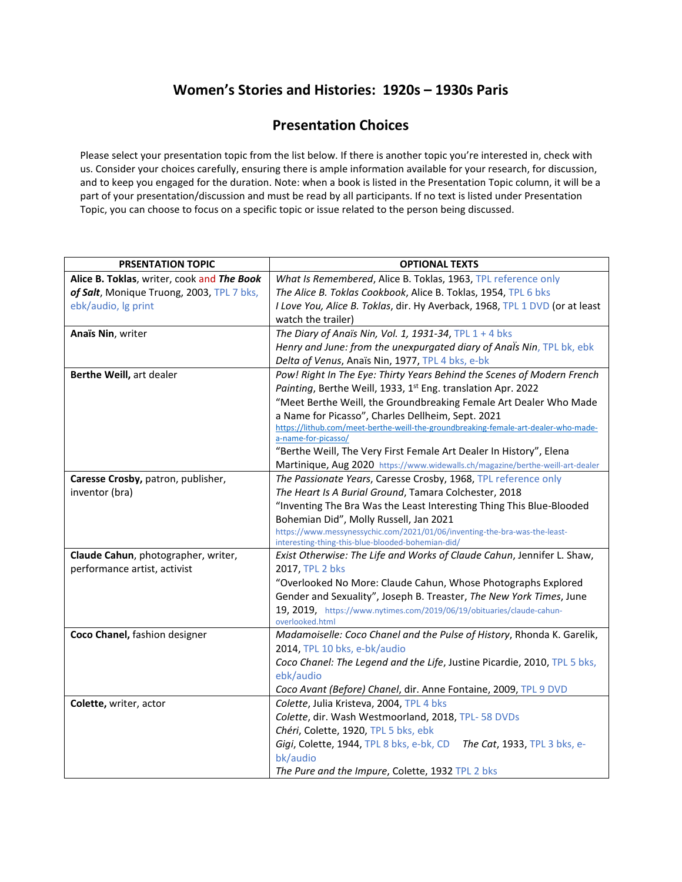## **Women's Stories and Histories: 1920s – 1930s Paris**

## **Presentation Choices**

Please select your presentation topic from the list below. If there is another topic you're interested in, check with us. Consider your choices carefully, ensuring there is ample information available for your research, for discussion, and to keep you engaged for the duration. Note: when a book is listed in the Presentation Topic column, it will be a part of your presentation/discussion and must be read by all participants. If no text is listed under Presentation Topic, you can choose to focus on a specific topic or issue related to the person being discussed.

| <b>PRSENTATION TOPIC</b>                   | <b>OPTIONAL TEXTS</b>                                                                    |
|--------------------------------------------|------------------------------------------------------------------------------------------|
| Alice B. Toklas, writer, cook and The Book | What Is Remembered, Alice B. Toklas, 1963, TPL reference only                            |
| of Salt, Monique Truong, 2003, TPL 7 bks,  | The Alice B. Toklas Cookbook, Alice B. Toklas, 1954, TPL 6 bks                           |
| ebk/audio, lg print                        | I Love You, Alice B. Toklas, dir. Hy Averback, 1968, TPL 1 DVD (or at least              |
|                                            | watch the trailer)                                                                       |
| Anaïs Nin, writer                          | The Diary of Anaïs Nin, Vol. 1, 1931-34, TPL $1 + 4$ bks                                 |
|                                            | Henry and June: from the unexpurgated diary of Anals Nin, TPL bk, ebk                    |
|                                            | Delta of Venus, Anaïs Nin, 1977, TPL 4 bks, e-bk                                         |
| Berthe Weill, art dealer                   | Pow! Right In The Eye: Thirty Years Behind the Scenes of Modern French                   |
|                                            | Painting, Berthe Weill, 1933, 1st Eng. translation Apr. 2022                             |
|                                            | "Meet Berthe Weill, the Groundbreaking Female Art Dealer Who Made                        |
|                                            | a Name for Picasso", Charles Dellheim, Sept. 2021                                        |
|                                            | https://lithub.com/meet-berthe-weill-the-groundbreaking-female-art-dealer-who-made-      |
|                                            | a-name-for-picasso/                                                                      |
|                                            | "Berthe Weill, The Very First Female Art Dealer In History", Elena                       |
|                                            | Martinique, Aug 2020 https://www.widewalls.ch/magazine/berthe-weill-art-dealer           |
| Caresse Crosby, patron, publisher,         | The Passionate Years, Caresse Crosby, 1968, TPL reference only                           |
| inventor (bra)                             | The Heart Is A Burial Ground, Tamara Colchester, 2018                                    |
|                                            | "Inventing The Bra Was the Least Interesting Thing This Blue-Blooded                     |
|                                            | Bohemian Did", Molly Russell, Jan 2021                                                   |
|                                            | https://www.messynessychic.com/2021/01/06/inventing-the-bra-was-the-least-               |
|                                            | interesting-thing-this-blue-blooded-bohemian-did/                                        |
| Claude Cahun, photographer, writer,        | Exist Otherwise: The Life and Works of Claude Cahun, Jennifer L. Shaw,                   |
| performance artist, activist               | 2017, TPL 2 bks                                                                          |
|                                            | "Overlooked No More: Claude Cahun, Whose Photographs Explored                            |
|                                            | Gender and Sexuality", Joseph B. Treaster, The New York Times, June                      |
|                                            | 19, 2019, https://www.nytimes.com/2019/06/19/obituaries/claude-cahun-<br>overlooked.html |
| Coco Chanel, fashion designer              | Madamoiselle: Coco Chanel and the Pulse of History, Rhonda K. Garelik,                   |
|                                            | 2014, TPL 10 bks, e-bk/audio                                                             |
|                                            | Coco Chanel: The Legend and the Life, Justine Picardie, 2010, TPL 5 bks,                 |
|                                            | ebk/audio                                                                                |
|                                            | Coco Avant (Before) Chanel, dir. Anne Fontaine, 2009, TPL 9 DVD                          |
| Colette, writer, actor                     | Colette, Julia Kristeva, 2004, TPL 4 bks                                                 |
|                                            | Colette, dir. Wash Westmoorland, 2018, TPL-58 DVDs                                       |
|                                            |                                                                                          |
|                                            | Chéri, Colette, 1920, TPL 5 bks, ebk                                                     |
|                                            | Gigi, Colette, 1944, TPL 8 bks, e-bk, CD<br>The Cat, 1933, TPL 3 bks, e-                 |
|                                            | bk/audio                                                                                 |
|                                            | The Pure and the Impure, Colette, 1932 TPL 2 bks                                         |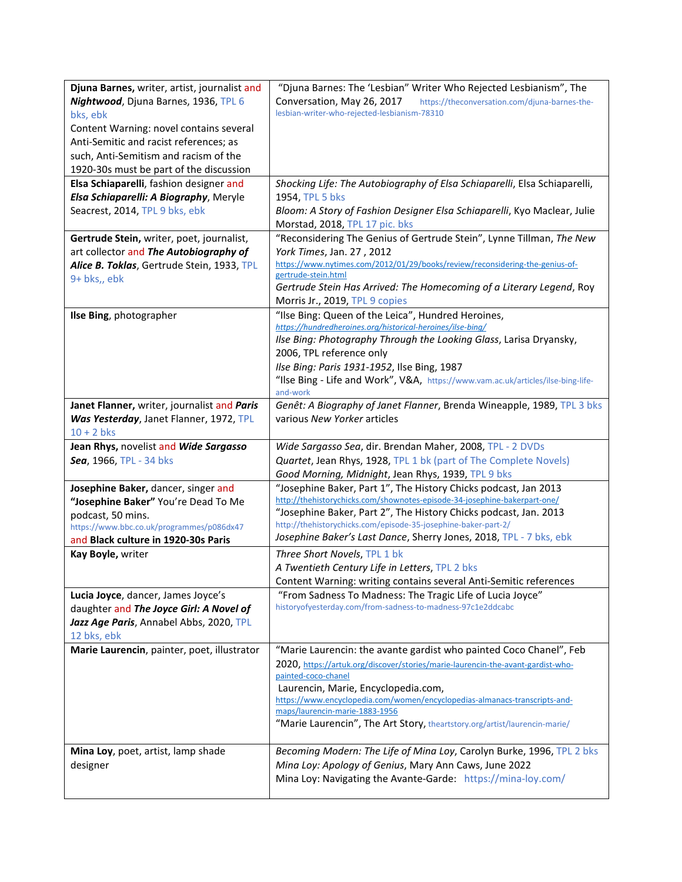| Djuna Barnes, writer, artist, journalist and | "Djuna Barnes: The 'Lesbian" Writer Who Rejected Lesbianism", The                                                                    |
|----------------------------------------------|--------------------------------------------------------------------------------------------------------------------------------------|
| Nightwood, Djuna Barnes, 1936, TPL 6         | Conversation, May 26, 2017<br>https://theconversation.com/djuna-barnes-the-                                                          |
| bks, ebk                                     | lesbian-writer-who-rejected-lesbianism-78310                                                                                         |
| Content Warning: novel contains several      |                                                                                                                                      |
| Anti-Semitic and racist references; as       |                                                                                                                                      |
| such, Anti-Semitism and racism of the        |                                                                                                                                      |
| 1920-30s must be part of the discussion      |                                                                                                                                      |
| Elsa Schiaparelli, fashion designer and      | Shocking Life: The Autobiography of Elsa Schiaparelli, Elsa Schiaparelli,                                                            |
| Elsa Schiaparelli: A Biography, Meryle       | 1954, TPL 5 bks                                                                                                                      |
| Seacrest, 2014, TPL 9 bks, ebk               | Bloom: A Story of Fashion Designer Elsa Schiaparelli, Kyo Maclear, Julie<br>Morstad, 2018, TPL 17 pic. bks                           |
| Gertrude Stein, writer, poet, journalist,    | "Reconsidering The Genius of Gertrude Stein", Lynne Tillman, The New                                                                 |
| art collector and The Autobiography of       | York Times, Jan. 27, 2012                                                                                                            |
| Alice B. Toklas, Gertrude Stein, 1933, TPL   | https://www.nytimes.com/2012/01/29/books/review/reconsidering-the-genius-of-                                                         |
| 9+ bks,, ebk                                 | gertrude-stein.html                                                                                                                  |
|                                              | Gertrude Stein Has Arrived: The Homecoming of a Literary Legend, Roy                                                                 |
|                                              | Morris Jr., 2019, TPL 9 copies                                                                                                       |
| Ilse Bing, photographer                      | "Ilse Bing: Queen of the Leica", Hundred Heroines,<br>https://hundredheroines.org/historical-heroines/ilse-bing/                     |
|                                              | Ilse Bing: Photography Through the Looking Glass, Larisa Dryansky,                                                                   |
|                                              | 2006, TPL reference only                                                                                                             |
|                                              | Ilse Bing: Paris 1931-1952, Ilse Bing, 1987                                                                                          |
|                                              | "Ilse Bing - Life and Work", V&A, https://www.vam.ac.uk/articles/ilse-bing-life-                                                     |
|                                              | and-work                                                                                                                             |
| Janet Flanner, writer, journalist and Paris  | Genêt: A Biography of Janet Flanner, Brenda Wineapple, 1989, TPL 3 bks                                                               |
| Was Yesterday, Janet Flanner, 1972, TPL      | various New Yorker articles                                                                                                          |
| $10 + 2$ bks                                 |                                                                                                                                      |
|                                              |                                                                                                                                      |
| Jean Rhys, novelist and Wide Sargasso        | Wide Sargasso Sea, dir. Brendan Maher, 2008, TPL - 2 DVDs                                                                            |
| Sea, 1966, TPL - 34 bks                      | Quartet, Jean Rhys, 1928, TPL 1 bk (part of The Complete Novels)                                                                     |
|                                              | Good Morning, Midnight, Jean Rhys, 1939, TPL 9 bks                                                                                   |
| Josephine Baker, dancer, singer and          | "Josephine Baker, Part 1", The History Chicks podcast, Jan 2013                                                                      |
| "Josephine Baker" You're Dead To Me          | http://thehistorychicks.com/shownotes-episode-34-josephine-bakerpart-one/                                                            |
| podcast, 50 mins.                            | "Josephine Baker, Part 2", The History Chicks podcast, Jan. 2013                                                                     |
| https://www.bbc.co.uk/programmes/p086dx47    | http://thehistorychicks.com/episode-35-josephine-baker-part-2/<br>Josephine Baker's Last Dance, Sherry Jones, 2018, TPL - 7 bks, ebk |
| and Black culture in 1920-30s Paris          |                                                                                                                                      |
| Kay Boyle, writer                            | Three Short Novels, TPL 1 bk                                                                                                         |
|                                              | A Twentieth Century Life in Letters, TPL 2 bks                                                                                       |
| Lucia Joyce, dancer, James Joyce's           | Content Warning: writing contains several Anti-Semitic references<br>"From Sadness To Madness: The Tragic Life of Lucia Joyce"       |
| daughter and The Joyce Girl: A Novel of      | historyofyesterday.com/from-sadness-to-madness-97c1e2ddcabc                                                                          |
| Jazz Age Paris, Annabel Abbs, 2020, TPL      |                                                                                                                                      |
| 12 bks, ebk                                  |                                                                                                                                      |
| Marie Laurencin, painter, poet, illustrator  | "Marie Laurencin: the avante gardist who painted Coco Chanel", Feb                                                                   |
|                                              | 2020, https://artuk.org/discover/stories/marie-laurencin-the-avant-gardist-who-                                                      |
|                                              | painted-coco-chanel                                                                                                                  |
|                                              | Laurencin, Marie, Encyclopedia.com,                                                                                                  |
|                                              | https://www.encyclopedia.com/women/encyclopedias-almanacs-transcripts-and-<br>maps/laurencin-marie-1883-1956                         |
|                                              | "Marie Laurencin", The Art Story, theartstory.org/artist/laurencin-marie/                                                            |
|                                              |                                                                                                                                      |
| Mina Loy, poet, artist, lamp shade           | Becoming Modern: The Life of Mina Loy, Carolyn Burke, 1996, TPL 2 bks                                                                |
| designer                                     | Mina Loy: Apology of Genius, Mary Ann Caws, June 2022                                                                                |
|                                              | Mina Loy: Navigating the Avante-Garde: https://mina-loy.com/                                                                         |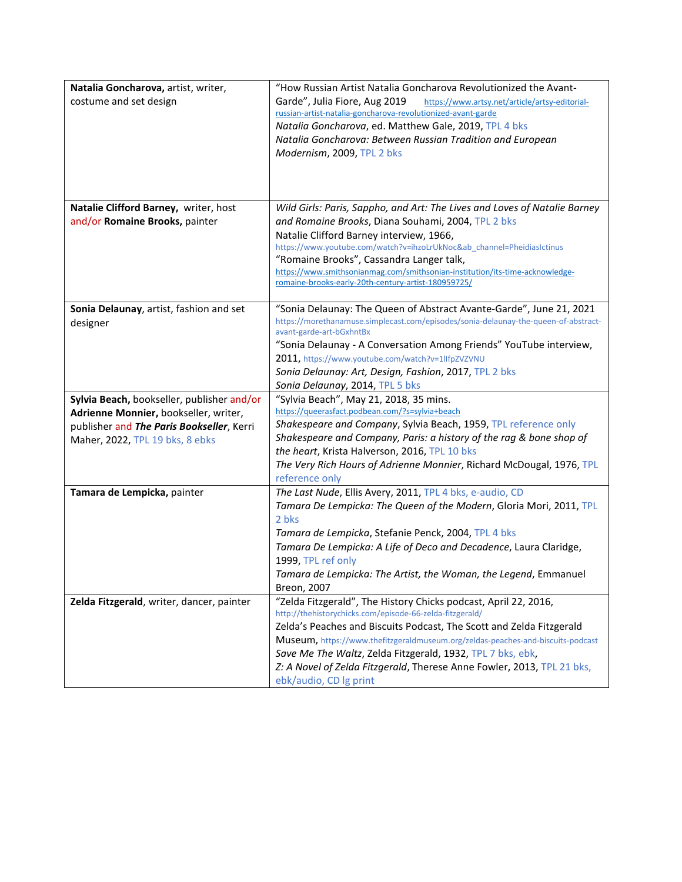| Natalia Goncharova, artist, writer,<br>costume and set design                                                                                                       | "How Russian Artist Natalia Goncharova Revolutionized the Avant-<br>Garde", Julia Fiore, Aug 2019<br>https://www.artsy.net/article/artsy-editorial-<br>russian-artist-natalia-goncharova-revolutionized-avant-garde<br>Natalia Goncharova, ed. Matthew Gale, 2019, TPL 4 bks<br>Natalia Goncharova: Between Russian Tradition and European<br>Modernism, 2009, TPL 2 bks                                                                                 |
|---------------------------------------------------------------------------------------------------------------------------------------------------------------------|----------------------------------------------------------------------------------------------------------------------------------------------------------------------------------------------------------------------------------------------------------------------------------------------------------------------------------------------------------------------------------------------------------------------------------------------------------|
| Natalie Clifford Barney, writer, host<br>and/or Romaine Brooks, painter                                                                                             | Wild Girls: Paris, Sappho, and Art: The Lives and Loves of Natalie Barney<br>and Romaine Brooks, Diana Souhami, 2004, TPL 2 bks<br>Natalie Clifford Barney interview, 1966,<br>https://www.youtube.com/watch?v=ihzoLrUkNoc&ab_channel=PheidiasIctinus<br>"Romaine Brooks", Cassandra Langer talk,<br>https://www.smithsonianmag.com/smithsonian-institution/its-time-acknowledge-<br>romaine-brooks-early-20th-century-artist-180959725/                 |
| Sonia Delaunay, artist, fashion and set<br>designer                                                                                                                 | "Sonia Delaunay: The Queen of Abstract Avante-Garde", June 21, 2021<br>https://morethanamuse.simplecast.com/episodes/sonia-delaunay-the-queen-of-abstract-<br>avant-garde-art-bGxhntBx<br>"Sonia Delaunay - A Conversation Among Friends" YouTube interview,<br>2011, https://www.youtube.com/watch?v=1llfpZVZVNU<br>Sonia Delaunay: Art, Design, Fashion, 2017, TPL 2 bks<br>Sonia Delaunay, 2014, TPL 5 bks                                            |
| Sylvia Beach, bookseller, publisher and/or<br>Adrienne Monnier, bookseller, writer,<br>publisher and The Paris Bookseller, Kerri<br>Maher, 2022, TPL 19 bks, 8 ebks | "Sylvia Beach", May 21, 2018, 35 mins.<br>https://queerasfact.podbean.com/?s=sylvia+beach<br>Shakespeare and Company, Sylvia Beach, 1959, TPL reference only<br>Shakespeare and Company, Paris: a history of the rag & bone shop of<br>the heart, Krista Halverson, 2016, TPL 10 bks<br>The Very Rich Hours of Adrienne Monnier, Richard McDougal, 1976, TPL<br>reference only                                                                           |
| Tamara de Lempicka, painter                                                                                                                                         | The Last Nude, Ellis Avery, 2011, TPL 4 bks, e-audio, CD<br>Tamara De Lempicka: The Queen of the Modern, Gloria Mori, 2011, TPL<br>2 bks<br>Tamara de Lempicka, Stefanie Penck, 2004, TPL 4 bks<br>Tamara De Lempicka: A Life of Deco and Decadence, Laura Claridge,<br>1999, TPL ref only<br>Tamara de Lempicka: The Artist, the Woman, the Legend, Emmanuel<br>Breon, 2007                                                                             |
| Zelda Fitzgerald, writer, dancer, painter                                                                                                                           | "Zelda Fitzgerald", The History Chicks podcast, April 22, 2016,<br>http://thehistorychicks.com/episode-66-zelda-fitzgerald/<br>Zelda's Peaches and Biscuits Podcast, The Scott and Zelda Fitzgerald<br>Museum, https://www.thefitzgeraldmuseum.org/zeldas-peaches-and-biscuits-podcast<br>Save Me The Waltz, Zelda Fitzgerald, 1932, TPL 7 bks, ebk,<br>Z: A Novel of Zelda Fitzgerald, Therese Anne Fowler, 2013, TPL 21 bks,<br>ebk/audio, CD Ig print |